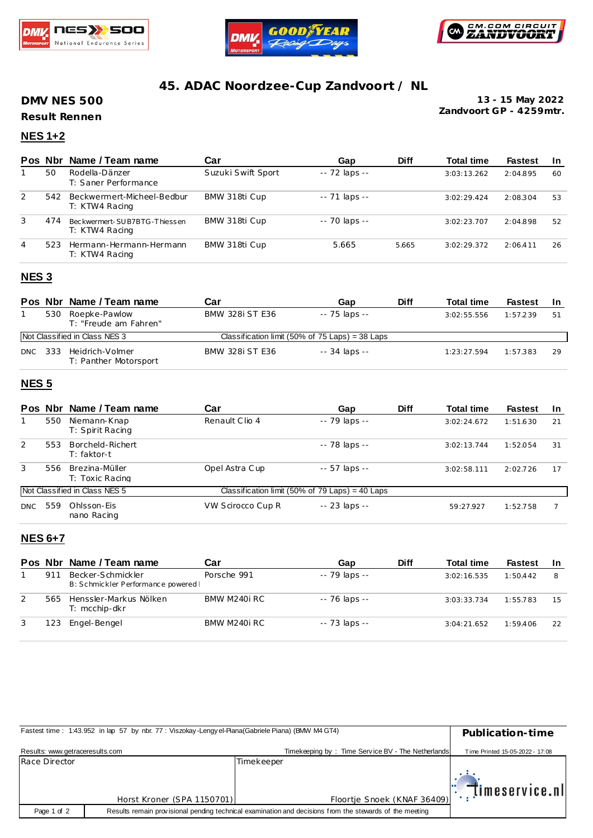





# **45. ADAC Noordzee-Cup Zandvoort / NL**

**DMV NES 500**

**Result Rennen**

**Zandvoort GP - 4259mtr. 13 - 15 May 2022**

# **NES 1+2**

| <b>Pos</b> | <b>Nbr</b> | Name / Team name                               | Car                | Gap           | <b>Diff</b> | <b>Total time</b> | <b>Fastest</b> | -In |
|------------|------------|------------------------------------------------|--------------------|---------------|-------------|-------------------|----------------|-----|
|            | 50         | Rodella-Dänzer<br>T: Saner Performance         | Suzuki Swift Sport | -- 72 laps -- |             | 3:03:13.262       | 2:04.895       | 60  |
| 2          | 542        | Beckwermert-Micheel-Bedbur<br>T: KTW4 Racing   | BMW 318ti Cup      | -- 71 laps -- |             | 3:02:29.424       | 2:08.304       | 53  |
| 3          | 474        | Beckwermert-SUB7BTG-Thiessen<br>T: KTW4 Racing | BMW 318ti Cup      | -- 70 laps -- |             | 3:02:23.707       | 2:04.898       | 52  |
| 4          | 523        | Hermann-Hermann-Hermann<br>T: KTW4 Racing      | BMW 318ti Cup      | 5.665         | 5.665       | 3:02:29.372       | 2:06.411       | 26  |
|            |            |                                                |                    |               |             |                   |                |     |

#### **NES 3**

|      |     | Pos Nbr Name / Team name                 | Car                    | Gap                                             | Diff | <b>Total time</b> | <b>Fastest</b> | <b>In</b> |
|------|-----|------------------------------------------|------------------------|-------------------------------------------------|------|-------------------|----------------|-----------|
|      | 530 | Roepke-Pawlow<br>T: "Freude am Fahren"   | <b>BMW 328i ST E36</b> | -- 75 laps --                                   |      | 3:02:55.556       | 1:57.239       | 51        |
|      |     | <b>Not Classified in Class NES 3</b>     |                        | Classification limit (50% of 75 Laps) = 38 Laps |      |                   |                |           |
| DNC. | 333 | Heidrich-Volmer<br>T: Panther Motorsport | <b>BMW 328i ST E36</b> | -- 34 laps --                                   |      | 1:23:27.594       | 1:57.383       | 29        |

#### **NES 5**

| <b>Pos</b> | Nbr | Name / Team name                    | Car               | Gap                                             | <b>Diff</b> | <b>Total time</b> | <b>Fastest</b> | <b>In</b> |
|------------|-----|-------------------------------------|-------------------|-------------------------------------------------|-------------|-------------------|----------------|-----------|
|            | 550 | Niemann-Knap<br>T: Spirit Racing    | Renault Clio 4    | -- 79 laps --                                   |             | 3:02:24.672       | 1:51.630       | 21        |
| 2          | 553 | Borcheld-Richert<br>T: faktor-t     |                   | -- 78 laps --                                   |             | 3:02:13.744       | 1:52.054       | 31        |
| 3          | 556 | - Brezina-Müller<br>T: Toxic Racing | Opel Astra Cup    | $-57$ laps $-$                                  |             | 3:02:58.111       | 2:02.726       | 17        |
|            |     | Not Classified in Class NES 5       |                   | Classification limit (50% of 79 Laps) = 40 Laps |             |                   |                |           |
| <b>DNC</b> | 559 | Ohlsson-Eis<br>nano Racing          | VW Scirocco Cup R | $-23$ laps $-$                                  |             | 59:27.927         | 1:52.758       |           |

### **NES 6+7**

|   |     | Pos Nbr Name / Team name                                 | Car          | Gap           | <b>Diff</b> | <b>Total time</b> | <b>Fastest</b> | -In |
|---|-----|----------------------------------------------------------|--------------|---------------|-------------|-------------------|----------------|-----|
|   | 911 | Becker-Schmickler<br>B: Schmickler Performance powered I | Porsche 991  | -- 79 laps -- |             | 3:02:16.535       | 1:50.442       |     |
| 2 | 565 | Henssler-Markus Nölken<br>T: mcchip-dkr                  | BMW M240i RC | -- 76 laps -- |             | 3:03:33.734       | 1:55.783       | 15  |
|   | 123 | Engel-Bengel                                             | BMW M240i RC | -- 73 laps -- |             | 3:04:21.652       | 1:59.406       | 22  |

| Fastest time: 1:43.952 in lap 57 by nbr. 77: Viszokay-Lengyel-Piana(Gabriele Piana) (BMW M4 GT4) | Publication-time                                                                                        |                                                   |                                 |  |  |
|--------------------------------------------------------------------------------------------------|---------------------------------------------------------------------------------------------------------|---------------------------------------------------|---------------------------------|--|--|
| Results: www.getraceresults.com                                                                  |                                                                                                         | Timekeeping by: Time Service BV - The Netherlands | Time Printed 15-05-2022 - 17:08 |  |  |
| Race Director                                                                                    |                                                                                                         | Timekeeper                                        |                                 |  |  |
|                                                                                                  |                                                                                                         |                                                   | $ \cdot $ timeservice.nl        |  |  |
|                                                                                                  | Horst Kroner (SPA 1150701)                                                                              | Floortje Snoek (KNAF 36409)                       |                                 |  |  |
| Page 1 of 2                                                                                      | Results remain provisional pending technical examination and decisions from the stewards of the meeting |                                                   |                                 |  |  |